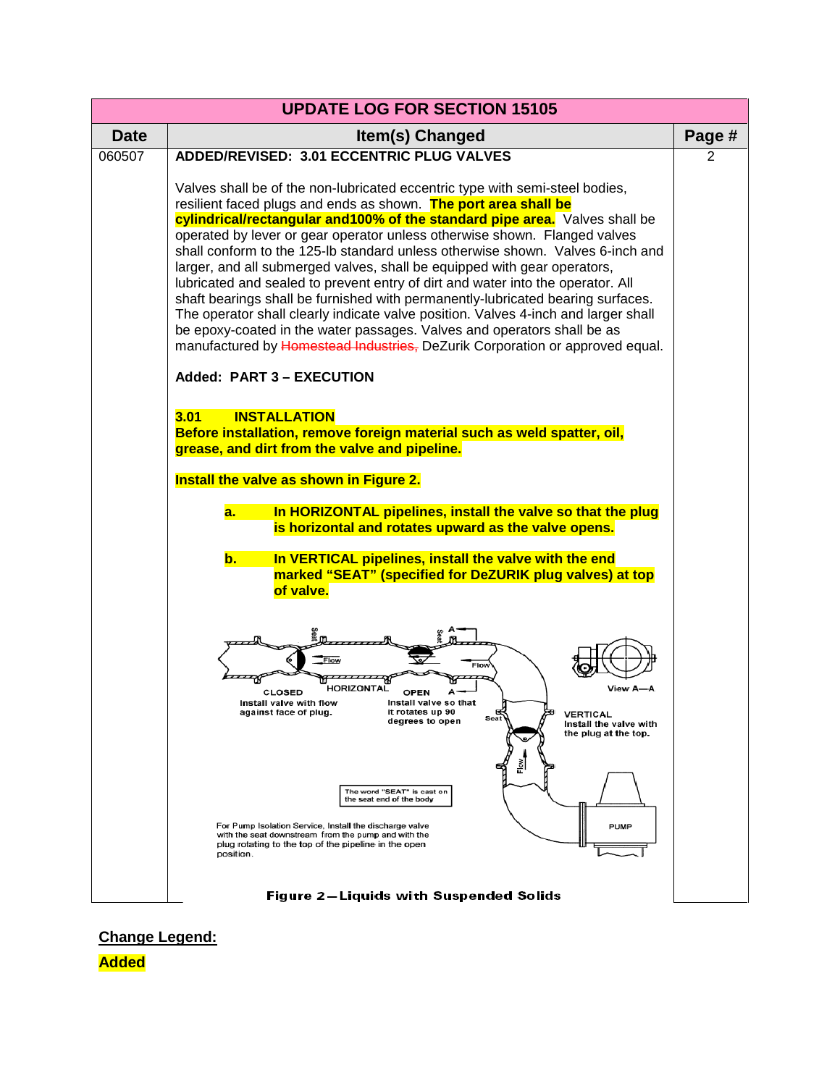

**Change Legend:**

**Added**